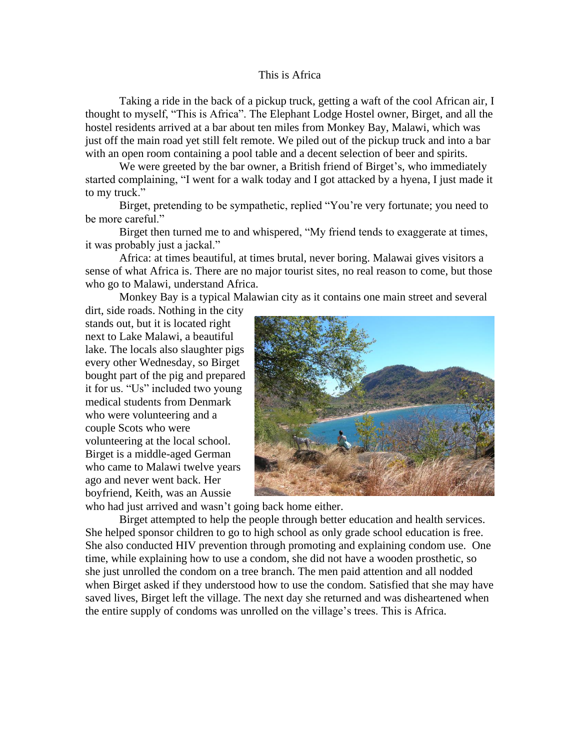## This is Africa

Taking a ride in the back of a pickup truck, getting a waft of the cool African air, I thought to myself, "This is Africa". The Elephant Lodge Hostel owner, Birget, and all the hostel residents arrived at a bar about ten miles from Monkey Bay, Malawi, which was just off the main road yet still felt remote. We piled out of the pickup truck and into a bar with an open room containing a pool table and a decent selection of beer and spirits.

We were greeted by the bar owner, a British friend of Birget's, who immediately started complaining, "I went for a walk today and I got attacked by a hyena, I just made it to my truck."

Birget, pretending to be sympathetic, replied "You're very fortunate; you need to be more careful."

Birget then turned me to and whispered, "My friend tends to exaggerate at times, it was probably just a jackal."

Africa: at times beautiful, at times brutal, never boring. Malawai gives visitors a sense of what Africa is. There are no major tourist sites, no real reason to come, but those who go to Malawi, understand Africa.

Monkey Bay is a typical Malawian city as it contains one main street and several dirt, side roads. Nothing in the city

stands out, but it is located right next to Lake Malawi, a beautiful lake. The locals also slaughter pigs every other Wednesday, so Birget bought part of the pig and prepared it for us. "Us" included two young medical students from Denmark who were volunteering and a couple Scots who were volunteering at the local school. Birget is a middle-aged German who came to Malawi twelve years ago and never went back. Her boyfriend, Keith, was an Aussie



who had just arrived and wasn't going back home either.

Birget attempted to help the people through better education and health services. She helped sponsor children to go to high school as only grade school education is free. She also conducted HIV prevention through promoting and explaining condom use. One time, while explaining how to use a condom, she did not have a wooden prosthetic, so she just unrolled the condom on a tree branch. The men paid attention and all nodded when Birget asked if they understood how to use the condom. Satisfied that she may have saved lives, Birget left the village. The next day she returned and was disheartened when the entire supply of condoms was unrolled on the village's trees. This is Africa.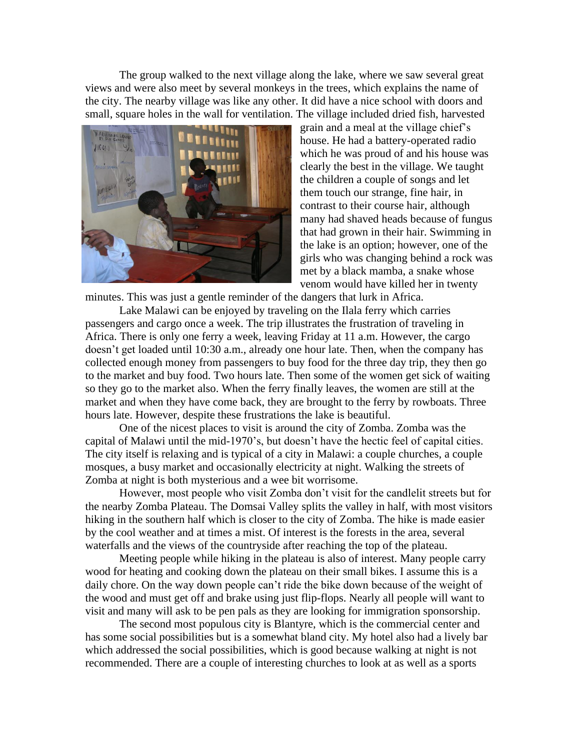The group walked to the next village along the lake, where we saw several great views and were also meet by several monkeys in the trees, which explains the name of the city. The nearby village was like any other. It did have a nice school with doors and small, square holes in the wall for ventilation. The village included dried fish, harvested



grain and a meal at the village chief's house. He had a battery-operated radio which he was proud of and his house was clearly the best in the village. We taught the children a couple of songs and let them touch our strange, fine hair, in contrast to their course hair, although many had shaved heads because of fungus that had grown in their hair. Swimming in the lake is an option; however, one of the girls who was changing behind a rock was met by a black mamba, a snake whose venom would have killed her in twenty

minutes. This was just a gentle reminder of the dangers that lurk in Africa.

Lake Malawi can be enjoyed by traveling on the Ilala ferry which carries passengers and cargo once a week. The trip illustrates the frustration of traveling in Africa. There is only one ferry a week, leaving Friday at 11 a.m. However, the cargo doesn't get loaded until 10:30 a.m., already one hour late. Then, when the company has collected enough money from passengers to buy food for the three day trip, they then go to the market and buy food. Two hours late. Then some of the women get sick of waiting so they go to the market also. When the ferry finally leaves, the women are still at the market and when they have come back, they are brought to the ferry by rowboats. Three hours late. However, despite these frustrations the lake is beautiful.

One of the nicest places to visit is around the city of Zomba. Zomba was the capital of Malawi until the mid-1970's, but doesn't have the hectic feel of capital cities. The city itself is relaxing and is typical of a city in Malawi: a couple churches, a couple mosques, a busy market and occasionally electricity at night. Walking the streets of Zomba at night is both mysterious and a wee bit worrisome.

However, most people who visit Zomba don't visit for the candlelit streets but for the nearby Zomba Plateau. The Domsai Valley splits the valley in half, with most visitors hiking in the southern half which is closer to the city of Zomba. The hike is made easier by the cool weather and at times a mist. Of interest is the forests in the area, several waterfalls and the views of the countryside after reaching the top of the plateau.

Meeting people while hiking in the plateau is also of interest. Many people carry wood for heating and cooking down the plateau on their small bikes. I assume this is a daily chore. On the way down people can't ride the bike down because of the weight of the wood and must get off and brake using just flip-flops. Nearly all people will want to visit and many will ask to be pen pals as they are looking for immigration sponsorship.

The second most populous city is Blantyre, which is the commercial center and has some social possibilities but is a somewhat bland city. My hotel also had a lively bar which addressed the social possibilities, which is good because walking at night is not recommended. There are a couple of interesting churches to look at as well as a sports